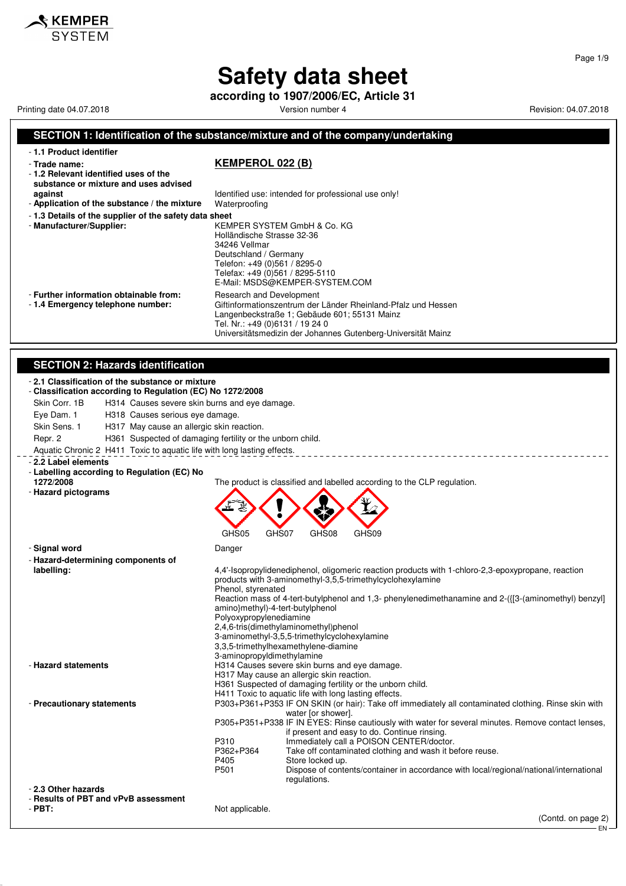**according to 1907/2006/EC, Article 31**

Printing date 04.07.2018 **Printing date 04.07.2018** Version number 4 Revision: 04.07.2018

 $\boldsymbol{\hat{x}}$  KEMPER

#### **SECTION 1: Identification of the substance/mixture and of the company/undertaking** - **1.1 Product identifier**

- **Trade name: KEMPEROL 022 (B)**

- **1.2 Relevant identified uses of the substance or mixture and uses advised**

- Application of the substance / the mixture

- **1.3 Details of the supplier of the safety data sheet**

Tel. Nr.: +49 (0)6131 / 19 24 0

**against against Identified use: intended for professional use only!**<br>**Application of the substance / the mixture** Waterproofing

Universitätsmedizin der Johannes Gutenberg-Universität Mainz

- **Manufacturer/Supplier:** KEMPER SYSTEM GmbH & Co. KG Holländische Strasse 32-36 34246 Vellmar Deutschland / Germany Telefon: +49 (0)561 / 8295-0 Telefax: +49 (0)561 / 8295-5110 E-Mail: MSDS@KEMPER-SYSTEM.COM - **Further information obtainable from:** Research and Development<br>- 1.4 **Emergency telephone number:** Giftinformationszentrum der Giftinformationszentrum der Länder Rheinland-Pfalz und Hessen Langenbeckstraße 1; Gebäude 601; 55131 Mainz

#### **SECTION 2: Hazards identification**

#### - **2.1 Classification of the substance or mixture** - **Classification according to Regulation (EC) No 1272/2008** Skin Corr. 1B H314 Causes severe skin burns and eye damage. Eye Dam. 1 H318 Causes serious eye damage. Skin Sens. 1 H317 May cause an allergic skin reaction. Repr. 2 **H361** Suspected of damaging fertility or the unborn child. Aquatic Chronic 2 H411 Toxic to aquatic life with long lasting effects. \_\_\_\_\_\_\_\_\_\_\_\_\_ - **2.2 Label elements** - **Labelling according to Regulation (EC) No** The product is classified and labelled according to the CLP regulation. - **Hazard pictograms** GHS05 GHS07 GHS08 GHS09 - **Signal word** Danger - **Hazard-determining components of labelling:** 4,4'-Isopropylidenediphenol, oligomeric reaction products with 1-chloro-2,3-epoxypropane, reaction products with 3-aminomethyl-3,5,5-trimethylcyclohexylamine Phenol, styrenated Reaction mass of 4-tert-butylphenol and 1,3- phenylenedimethanamine and 2-({[3-(aminomethyl) benzyl] amino}methyl)-4-tert-butylphenol Polyoxypropylenediamine 2,4,6-tris(dimethylaminomethyl)phenol 3-aminomethyl-3,5,5-trimethylcyclohexylamine 3,3,5-trimethylhexamethylene-diamine 3-aminopropyldimethylamine - **Hazard statements** H314 Causes severe skin burns and eye damage. H317 May cause an allergic skin reaction. H361 Suspected of damaging fertility or the unborn child. H411 Toxic to aquatic life with long lasting effects. - **Precautionary statements** P303+P361+P353 IF ON SKIN (or hair): Take off immediately all contaminated clothing. Rinse skin with water [or shower]. P305+P351+P338 IF IN EYES: Rinse cautiously with water for several minutes. Remove contact lenses, if present and easy to do. Continue rinsing. P310 Immediately call a POISON CENTER/doctor.<br>P362+P364 Take off contaminated clothing and wash it b Take off contaminated clothing and wash it before reuse. P405 Store locked up.<br>P501 Dispose of conte Dispose of contents/container in accordance with local/regional/national/international regulations. - **2.3 Other hazards** - **Results of PBT and vPvB assessment** Not applicable. (Contd. on page 2)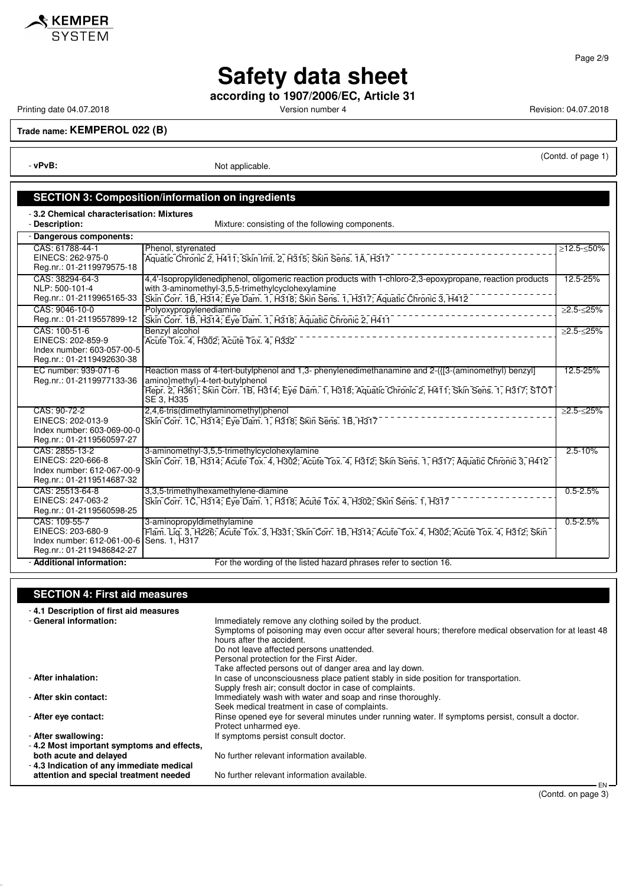

**according to 1907/2006/EC, Article 31**

Printing date 04.07.2018 **Printing date 04.07.2018** Version number 4 Revision: 04.07.2018

<u>SKEMPER</u> **SYSTEM** 

**Trade name: KEMPEROL 022 (B)**

- **vPvB:** Not applicable.

(Contd. of page 1)

### **SECTION 3: Composition/information on ingredients**

- **3.2 Chemical characterisation: Mixtures**

- **Description:** Mixture: consisting of the following components.

| - Dangerous components:                                                                        |                                                                                                                                                                                                                                                                   |                        |
|------------------------------------------------------------------------------------------------|-------------------------------------------------------------------------------------------------------------------------------------------------------------------------------------------------------------------------------------------------------------------|------------------------|
| CAS: 61788-44-1<br>EINECS: 262-975-0<br>Reg.nr.: 01-2119979575-18                              | Phenol, styrenated<br>Aquatic Chronic 2, H411; Skin Irrit. 2, H315; Skin Sens. 1A, H317                                                                                                                                                                           | ≥12.5-≤50%             |
| CAS: 38294-64-3<br>NLP: 500-101-4<br>Reg.nr.: 01-2119965165-33                                 | 4.4'-Isopropylidenediphenol, oligomeric reaction products with 1-chloro-2.3-epoxypropane, reaction products<br>with 3-aminomethyl-3,5,5-trimethylcyclohexylamine<br>Skin Corr. 1B, H314; Eye Dam. 1, H318; Skin Sens. 1, H317; Aquatic Chronic 3, H412            | 12.5-25%               |
| CAS: 9046-10-0<br>Reg.nr.: 01-2119557899-12                                                    | Polyoxypropylenediamine<br>Skin Corr. 1B, H314; Eye Dam. 1, H318; Aquatic Chronic 2, H411                                                                                                                                                                         | $\geq 2.5 - \leq 25\%$ |
| CAS: 100-51-6<br>EINECS: 202-859-9<br>Index number: 603-057-00-5<br>Reg.nr.: 01-2119492630-38  | Benzyl alcohol<br>Acute Tox. 4, H302; Acute Tox. 4, H332                                                                                                                                                                                                          | $\geq$ 2.5- $\leq$ 25% |
| EC number: 939-071-6<br>Reg.nr.: 01-2119977133-36                                              | Reaction mass of 4-tert-butylphenol and 1.3- phenylenedimethanamine and 2-({[3-(aminomethyl) benzyl]<br>amino}methyl)-4-tert-butylphenol<br>Repr. 2, H361; Skin Corr. 1B, H314; Eye Dam. 1, H318; Aquatic Chronic 2, H411; Skin Sens. 1, H317; STOT<br>SE 3, H335 | 12.5-25%               |
| CAS: 90-72-2<br>EINECS: 202-013-9<br>Index number: 603-069-00-0<br>Reg.nr.: 01-2119560597-27   | 2,4,6-tris(dimethylaminomethyl)phenol<br>Skin Corr. 1C, H314; Eye Dam. 1, H318; Skin Sens. 1B, H317                                                                                                                                                               | ≥2.5-≤25%              |
| CAS: 2855-13-2<br>EINECS: 220-666-8<br>Index number: 612-067-00-9<br>Reg.nr.: 01-2119514687-32 | 3-aminomethyl-3,5,5-trimethylcyclohexylamine<br>Skin Corr. 1B, H314; Acute Tox. 4, H302; Acute Tox. 4, H312; Skin Sens. 1, H317; Aquatic Chronic 3, H412                                                                                                          | $2.5 - 10%$            |
| CAS: 25513-64-8<br>EINECS: 247-063-2<br>Reg.nr.: 01-2119560598-25                              | 3.3.5-trimethylhexamethylene-diamine<br>Skin Corr. 1C, H314; Eye Dam. 1, H318; Acute Tox. 4, H302; Skin Sens. 1, H317                                                                                                                                             | $0.5 - 2.5%$           |
| CAS: 109-55-7<br>EINECS: 203-680-9<br>Index number: 612-061-00-6<br>Reg.nr.: 01-2119486842-27  | 3-aminopropyldimethylamine<br>Flam. Lig. 3, H226; Acute Tox. 3, H331; Skin Corr. 1B, H314; Acute Tox. 4, H302; Acute Tox. 4, H312; Skin<br>Sens. 1, H317                                                                                                          | $0.5 - 2.5%$           |
| - Additional information:                                                                      | For the wording of the listed hazard phrases refer to section 16.                                                                                                                                                                                                 |                        |

### **SECTION 4: First aid measures**

| Immediately remove any clothing soiled by the product.                                                  |
|---------------------------------------------------------------------------------------------------------|
| Symptoms of poisoning may even occur after several hours; therefore medical observation for at least 48 |
| hours after the accident.                                                                               |
| Do not leave affected persons unattended.                                                               |
| Personal protection for the First Aider.                                                                |
| Take affected persons out of danger area and lay down.                                                  |
| In case of unconsciousness place patient stably in side position for transportation.                    |
| Supply fresh air; consult doctor in case of complaints.                                                 |
| Immediately wash with water and soap and rinse thoroughly.                                              |
| Seek medical treatment in case of complaints.                                                           |
| Rinse opened eye for several minutes under running water. If symptoms persist, consult a doctor.        |
| Protect unharmed eye.                                                                                   |
| If symptoms persist consult doctor.                                                                     |
|                                                                                                         |
| No further relevant information available.                                                              |
|                                                                                                         |
| No further relevant information available.                                                              |
| EN-                                                                                                     |
| -4.2 Most important symptoms and effects,                                                               |

#### Page 2/9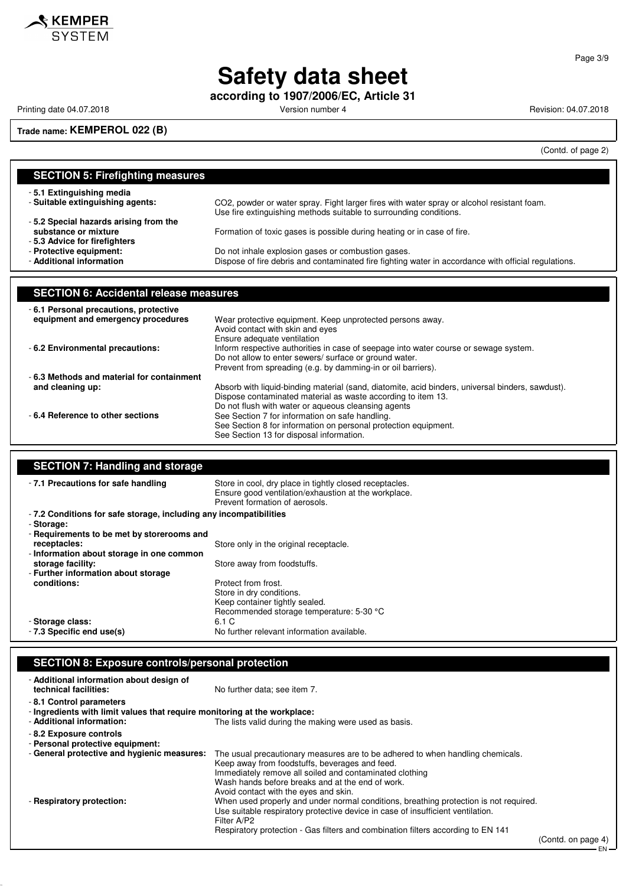

**according to 1907/2006/EC, Article 31**

Printing date 04.07.2018 **Printing date 04.07.2018** Version number 4 Revision: 04.07.2018

**Trade name: KEMPEROL 022 (B)**

(Contd. of page 2)

| <b>SECTION 5: Firefighting measures</b>       |                                                                                                                                                |  |
|-----------------------------------------------|------------------------------------------------------------------------------------------------------------------------------------------------|--|
| -5.1 Extinguishing media                      |                                                                                                                                                |  |
| - Suitable extinguishing agents:              | CO2, powder or water spray. Fight larger fires with water spray or alcohol resistant foam.                                                     |  |
| -5.2 Special hazards arising from the         | Use fire extinguishing methods suitable to surrounding conditions.                                                                             |  |
| substance or mixture                          | Formation of toxic gases is possible during heating or in case of fire.                                                                        |  |
| -5.3 Advice for firefighters                  |                                                                                                                                                |  |
| - Protective equipment:                       | Do not inhale explosion gases or combustion gases.                                                                                             |  |
| - Additional information                      | Dispose of fire debris and contaminated fire fighting water in accordance with official regulations.                                           |  |
|                                               |                                                                                                                                                |  |
|                                               |                                                                                                                                                |  |
|                                               |                                                                                                                                                |  |
| <b>SECTION 6: Accidental release measures</b> |                                                                                                                                                |  |
| - 6.1 Personal precautions, protective        |                                                                                                                                                |  |
| equipment and emergency procedures            | Wear protective equipment. Keep unprotected persons away.                                                                                      |  |
|                                               | Avoid contact with skin and eyes                                                                                                               |  |
|                                               | Ensure adequate ventilation                                                                                                                    |  |
| - 6.2 Environmental precautions:              | Inform respective authorities in case of seepage into water course or sewage system.<br>Do not allow to enter sewers/ surface or ground water. |  |
|                                               | Prevent from spreading (e.g. by damming-in or oil barriers).                                                                                   |  |
| - 6.3 Methods and material for containment    |                                                                                                                                                |  |
| and cleaning up:                              | Absorb with liquid-binding material (sand, diatomite, acid binders, universal binders, sawdust).                                               |  |
|                                               | Dispose contaminated material as waste according to item 13.                                                                                   |  |
|                                               | Do not flush with water or aqueous cleansing agents                                                                                            |  |
| - 6.4 Reference to other sections             | See Section 7 for information on safe handling.<br>See Section 8 for information on personal protection equipment.                             |  |

| <b>SECTION 7: Handling and storage</b>                            |                                                                                                                                                   |
|-------------------------------------------------------------------|---------------------------------------------------------------------------------------------------------------------------------------------------|
| -7.1 Precautions for safe handling                                | Store in cool, dry place in tightly closed receptacles.<br>Ensure good ventilation/exhaustion at the workplace.<br>Prevent formation of aerosols. |
| -7.2 Conditions for safe storage, including any incompatibilities |                                                                                                                                                   |
| - Storage:                                                        |                                                                                                                                                   |
| - Requirements to be met by storerooms and                        |                                                                                                                                                   |
| receptacles:                                                      | Store only in the original receptacle.                                                                                                            |
| - Information about storage in one common                         |                                                                                                                                                   |
| storage facility:                                                 | Store away from foodstuffs.                                                                                                                       |
| - Further information about storage                               |                                                                                                                                                   |
| conditions:                                                       | Protect from frost.                                                                                                                               |
|                                                                   | Store in dry conditions.                                                                                                                          |
|                                                                   | Keep container tightly sealed.                                                                                                                    |
|                                                                   | Recommended storage temperature: 5-30 °C                                                                                                          |
| - Storage class:                                                  | 6.1 C                                                                                                                                             |
| - 7.3 Specific end use(s)                                         | No further relevant information available.                                                                                                        |

### **SECTION 8: Exposure controls/personal protection**

| - Additional information about design of<br>technical facilities:                                                                 | No further data; see item 7.                                                                                                                                                                                                                                                             |                    |
|-----------------------------------------------------------------------------------------------------------------------------------|------------------------------------------------------------------------------------------------------------------------------------------------------------------------------------------------------------------------------------------------------------------------------------------|--------------------|
| -8.1 Control parameters<br>- Ingredients with limit values that require monitoring at the workplace:<br>- Additional information: | The lists valid during the making were used as basis.                                                                                                                                                                                                                                    |                    |
| -8.2 Exposure controls<br>- Personal protective equipment:                                                                        |                                                                                                                                                                                                                                                                                          |                    |
| - General protective and hygienic measures:                                                                                       | The usual precautionary measures are to be adhered to when handling chemicals.<br>Keep away from foodstuffs, beverages and feed.<br>Immediately remove all soiled and contaminated clothing<br>Wash hands before breaks and at the end of work.<br>Avoid contact with the eyes and skin. |                    |
| - Respiratory protection:                                                                                                         | When used properly and under normal conditions, breathing protection is not required.<br>Use suitable respiratory protective device in case of insufficient ventilation.<br>Filter A/P2<br>Respiratory protection - Gas filters and combination filters according to EN 141              | (Contd. on page 4) |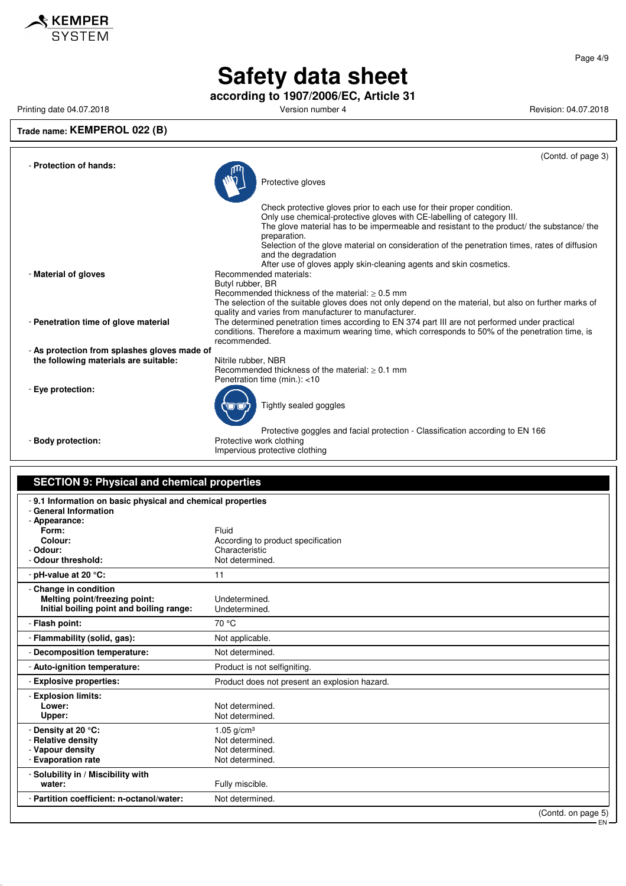

**according to 1907/2006/EC, Article 31**

### **Trade name: KEMPEROL 022 (B)**

Printing date 04.07.2018 **Printing date 04.07.2018** Version number 4 **Version number 4** Revision: 04.07.2018

|                                              | (Contd. of page 3)                                                                                                                                                                                                                                                                                                                                                                                                                                         |
|----------------------------------------------|------------------------------------------------------------------------------------------------------------------------------------------------------------------------------------------------------------------------------------------------------------------------------------------------------------------------------------------------------------------------------------------------------------------------------------------------------------|
| - Protection of hands:                       | Protective gloves                                                                                                                                                                                                                                                                                                                                                                                                                                          |
|                                              | Check protective gloves prior to each use for their proper condition.<br>Only use chemical-protective gloves with CE-labelling of category III.<br>The glove material has to be impermeable and resistant to the product/ the substance/ the<br>preparation.<br>Selection of the glove material on consideration of the penetration times, rates of diffusion<br>and the degradation<br>After use of gloves apply skin-cleaning agents and skin cosmetics. |
| - Material of gloves                         | Recommended materials:<br>Butyl rubber, BR<br>Recommended thickness of the material: $> 0.5$ mm<br>The selection of the suitable gloves does not only depend on the material, but also on further marks of<br>quality and varies from manufacturer to manufacturer.                                                                                                                                                                                        |
| - Penetration time of glove material         | The determined penetration times according to EN 374 part III are not performed under practical<br>conditions. Therefore a maximum wearing time, which corresponds to 50% of the penetration time, is<br>recommended.                                                                                                                                                                                                                                      |
| - As protection from splashes gloves made of |                                                                                                                                                                                                                                                                                                                                                                                                                                                            |
| the following materials are suitable:        | Nitrile rubber, NBR<br>Recommended thickness of the material: $> 0.1$ mm<br>Penetration time (min.): <10                                                                                                                                                                                                                                                                                                                                                   |
| - Eve protection:                            | Tightly sealed goggles                                                                                                                                                                                                                                                                                                                                                                                                                                     |
| - Body protection:                           | Protective goggles and facial protection - Classification according to EN 166<br>Protective work clothing<br>Impervious protective clothing                                                                                                                                                                                                                                                                                                                |

#### **SECTION 9: Physical and chemical properties** - **9.1 Information on basic physical and chemical properties** - **General Information** - **Appearance: Form:** Fluid **Colour:** Colour: **According to product specification** - **Odour:** Characteristic

| vuvuı.<br>- Odour threshold:                                                                       | UNIQIQUIGNOU<br>Not determined.                                          |
|----------------------------------------------------------------------------------------------------|--------------------------------------------------------------------------|
| - pH-value at 20 $\degree$ C:                                                                      | 11                                                                       |
| - Change in condition<br>Melting point/freezing point:<br>Initial boiling point and boiling range: | Undetermined.<br>Undetermined.                                           |
| - Flash point:                                                                                     | 70 °C                                                                    |
| - Flammability (solid, gas):                                                                       | Not applicable.                                                          |
| - Decomposition temperature:                                                                       | Not determined.                                                          |
| - Auto-ignition temperature:                                                                       | Product is not selfigniting.                                             |
| - Explosive properties:                                                                            | Product does not present an explosion hazard.                            |
| - Explosion limits:<br>Lower:<br>Upper:                                                            | Not determined.<br>Not determined.                                       |
| - Density at 20 °C:<br>- Relative density<br>- Vapour density<br>- Evaporation rate                | 1.05 $q/cm^{3}$<br>Not determined.<br>Not determined.<br>Not determined. |
| - Solubility in / Miscibility with<br>water:                                                       | Fully miscible.                                                          |
| - Partition coefficient: n-octanol/water:                                                          | Not determined.                                                          |
|                                                                                                    | (Contd. on page 5)                                                       |

(Contd. on page EN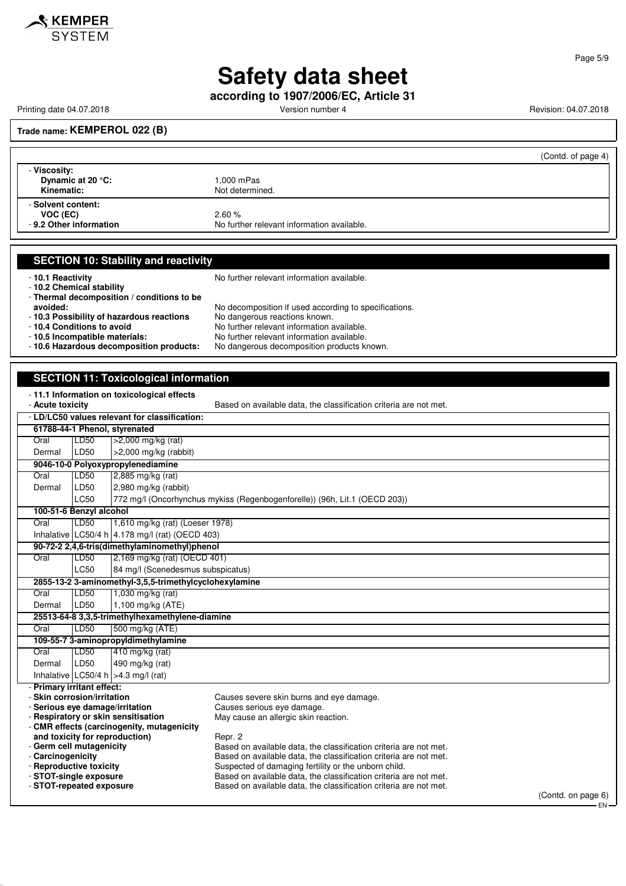

**according to 1907/2006/EC, Article 31**

Printing date 04.07.2018 **Printing date 04.07.2018** Version number 4 **Version number 4** Revision: 04.07.2018

#### **Trade name: KEMPEROL 022 (B)**

|                                                           | (Contd. of page 4)                                  |
|-----------------------------------------------------------|-----------------------------------------------------|
| - Viscosity:<br>Dynamic at 20 °C:<br>Kinematic:           | 1,000 mPas<br>Not determined.                       |
| - Solvent content:<br>VOC (EC)<br>- 9.2 Other information | 2.60%<br>No further relevant information available. |

#### **SECTION 10: Stability and reactivity**

- **10.2 Chemical stability**

- **10.1 Reactivity 10.1 Reactivity 10.1 Reactivity 10.1 Reactivity** 

- **Thermal decomposition / conditions to be**

**avoided:** No decomposition if used according to specifications. - **10.3 Possibility of hazardous reactions** No dangerous reactions known. - **10.4 Conditions to avoid**<br>**- 10.5 Incompatible materials:** No further relevant information available. No further relevant information available.<br>No dangerous decomposition products known.

- 10.6 Hazardous decomposition products:

#### **SECTION 11: Toxicological information**

- **11.1 Information on toxicological effects**

| - Acute toxicity                              |                                                                              |                                                        | Based on available data, the classification criteria are not met.          |                    |
|-----------------------------------------------|------------------------------------------------------------------------------|--------------------------------------------------------|----------------------------------------------------------------------------|--------------------|
| - LD/LC50 values relevant for classification: |                                                                              |                                                        |                                                                            |                    |
|                                               |                                                                              | 61788-44-1 Phenol, styrenated                          |                                                                            |                    |
| Oral                                          | LD50                                                                         | >2,000 mg/kg (rat)                                     |                                                                            |                    |
| Dermal                                        | LD50                                                                         | $>2,000$ mg/kg (rabbit)                                |                                                                            |                    |
|                                               |                                                                              | 9046-10-0 Polyoxypropylenediamine                      |                                                                            |                    |
| Oral                                          | LD50                                                                         | 2,885 mg/kg (rat)                                      |                                                                            |                    |
| Dermal                                        | LD50                                                                         | 2,980 mg/kg (rabbit)                                   |                                                                            |                    |
|                                               | LC50                                                                         |                                                        | 772 mg/l (Oncorhynchus mykiss (Regenbogenforelle)) (96h, Lit.1 (OECD 203)) |                    |
|                                               | 100-51-6 Benzyl alcohol                                                      |                                                        |                                                                            |                    |
| Oral                                          | LD50                                                                         | 1,610 mg/kg (rat) (Loeser 1978)                        |                                                                            |                    |
|                                               |                                                                              | Inhalative LC50/4 h 4.178 mg/l (rat) (OECD 403)        |                                                                            |                    |
|                                               |                                                                              | 90-72-2 2,4,6-tris(dimethylaminomethyl)phenol          |                                                                            |                    |
| Oral                                          | LD50                                                                         | 2,169 mg/kg (rat) (OECD 401)                           |                                                                            |                    |
|                                               | <b>LC50</b>                                                                  | 84 mg/l (Scenedesmus subspicatus)                      |                                                                            |                    |
|                                               |                                                                              | 2855-13-2 3-aminomethyl-3,5,5-trimethylcyclohexylamine |                                                                            |                    |
| Oral                                          | LD50                                                                         | 1,030 mg/kg (rat)                                      |                                                                            |                    |
| Dermal                                        | LD50                                                                         | 1,100 mg/kg (ATE)                                      |                                                                            |                    |
|                                               |                                                                              | 25513-64-8 3,3,5-trimethylhexamethylene-diamine        |                                                                            |                    |
| Oral                                          | LD50                                                                         | 500 mg/kg (ATE)                                        |                                                                            |                    |
|                                               |                                                                              | 109-55-7 3-aminopropyldimethylamine                    |                                                                            |                    |
| Oral                                          | LD50                                                                         | 410 mg/kg (rat)                                        |                                                                            |                    |
| Dermal                                        | LD50                                                                         | 490 mg/kg (rat)                                        |                                                                            |                    |
|                                               |                                                                              | Inhalative LC50/4 h $ >4.3$ mg/l (rat)                 |                                                                            |                    |
| - Primary irritant effect:                    |                                                                              |                                                        |                                                                            |                    |
| - Skin corrosion/irritation                   |                                                                              |                                                        | Causes severe skin burns and eye damage.                                   |                    |
|                                               |                                                                              | - Serious eye damage/irritation                        | Causes serious eve damage.                                                 |                    |
|                                               | - Respiratory or skin sensitisation                                          |                                                        | May cause an allergic skin reaction.                                       |                    |
|                                               | - CMR effects (carcinogenity, mutagenicity<br>and toxicity for reproduction) |                                                        | Repr. 2                                                                    |                    |
| - Germ cell mutagenicity                      |                                                                              |                                                        | Based on available data, the classification criteria are not met.          |                    |
| - Carcinogenicity                             |                                                                              |                                                        | Based on available data, the classification criteria are not met.          |                    |
| - Reproductive toxicity                       |                                                                              |                                                        | Suspected of damaging fertility or the unborn child.                       |                    |
| - STOT-single exposure                        |                                                                              |                                                        | Based on available data, the classification criteria are not met.          |                    |
| - STOT-repeated exposure                      |                                                                              |                                                        | Based on available data, the classification criteria are not met.          |                    |
|                                               |                                                                              |                                                        |                                                                            | (Contd. on page 6) |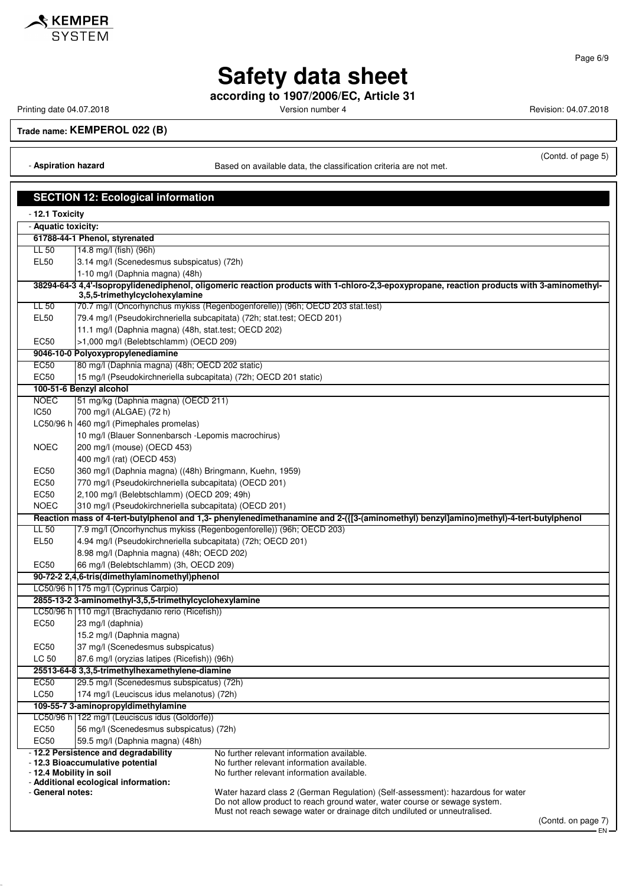

Page 6/9

### **Safety data sheet**

**according to 1907/2006/EC, Article 31**

Printing date 04.07.2018 **Printing date 04.07.2018** Version number 4 Revision: 04.07.2018

**Trade name: KEMPEROL 022 (B)**

- **Aspiration hazard** Based on available data, the classification criteria are not met.

(Contd. of page 5)

| <b>SECTION 12: Ecological information</b> |                                                                        |                                                                                                                                                               |  |
|-------------------------------------------|------------------------------------------------------------------------|---------------------------------------------------------------------------------------------------------------------------------------------------------------|--|
| - 12.1 Toxicity                           |                                                                        |                                                                                                                                                               |  |
| - Aquatic toxicity:                       |                                                                        |                                                                                                                                                               |  |
|                                           | 61788-44-1 Phenol, styrenated                                          |                                                                                                                                                               |  |
| LL 50                                     | 14.8 mg/l (fish) (96h)                                                 |                                                                                                                                                               |  |
| <b>EL50</b>                               | 3.14 mg/l (Scenedesmus subspicatus) (72h)                              |                                                                                                                                                               |  |
|                                           | 1-10 mg/l (Daphnia magna) (48h)                                        |                                                                                                                                                               |  |
|                                           | 3,5,5-trimethylcyclohexylamine                                         | 38294-64-3 4,4'-Isopropylidenediphenol, oligomeric reaction products with 1-chloro-2,3-epoxypropane, reaction products with 3-aminomethyl-                    |  |
| LL 50                                     |                                                                        | 70.7 mg/l (Oncorhynchus mykiss (Regenbogenforelle)) (96h; OECD 203 stat.test)                                                                                 |  |
| EL <sub>50</sub>                          | 79.4 mg/l (Pseudokirchneriella subcapitata) (72h; stat.test; OECD 201) |                                                                                                                                                               |  |
|                                           | 11.1 mg/l (Daphnia magna) (48h, stat.test; OECD 202)                   |                                                                                                                                                               |  |
| <b>EC50</b>                               | >1,000 mg/l (Belebtschlamm) (OECD 209)                                 |                                                                                                                                                               |  |
|                                           | 9046-10-0 Polyoxypropylenediamine                                      |                                                                                                                                                               |  |
| <b>EC50</b>                               | 80 mg/l (Daphnia magna) (48h; OECD 202 static)                         |                                                                                                                                                               |  |
| <b>EC50</b>                               | 15 mg/l (Pseudokirchneriella subcapitata) (72h; OECD 201 static)       |                                                                                                                                                               |  |
|                                           | 100-51-6 Benzyl alcohol                                                |                                                                                                                                                               |  |
| <b>NOEC</b>                               | 51 mg/kg (Daphnia magna) (OECD 211)                                    |                                                                                                                                                               |  |
| <b>IC50</b>                               | 700 mg/l (ALGAE) (72 h)                                                |                                                                                                                                                               |  |
|                                           | LC50/96 h 460 mg/l (Pimephales promelas)                               |                                                                                                                                                               |  |
|                                           | 10 mg/l (Blauer Sonnenbarsch - Lepomis macrochirus)                    |                                                                                                                                                               |  |
| <b>NOEC</b>                               | 200 mg/l (mouse) (OECD 453)                                            |                                                                                                                                                               |  |
|                                           | 400 mg/l (rat) (OECD 453)                                              |                                                                                                                                                               |  |
| EC50                                      | 360 mg/l (Daphnia magna) ((48h) Bringmann, Kuehn, 1959)                |                                                                                                                                                               |  |
| <b>EC50</b>                               | 770 mg/l (Pseudokirchneriella subcapitata) (OECD 201)                  |                                                                                                                                                               |  |
| <b>EC50</b>                               | 2,100 mg/l (Belebtschlamm) (OECD 209; 49h)                             |                                                                                                                                                               |  |
| <b>NOEC</b>                               | 310 mg/l (Pseudokirchneriella subcapitata) (OECD 201)                  |                                                                                                                                                               |  |
|                                           |                                                                        | Reaction mass of 4-tert-butylphenol and 1,3- phenylenedimethanamine and 2-({[3-(aminomethyl) benzyl]amino}methyl)-4-tert-butylphenol                          |  |
| LL 50                                     |                                                                        | 7.9 mg/l (Oncorhynchus mykiss (Regenbogenforelle)) (96h; OECD 203)                                                                                            |  |
| EL <sub>50</sub>                          | 4.94 mg/l (Pseudokirchneriella subcapitata) (72h; OECD 201)            |                                                                                                                                                               |  |
|                                           | 8.98 mg/l (Daphnia magna) (48h; OECD 202)                              |                                                                                                                                                               |  |
| <b>EC50</b>                               | 66 mg/l (Belebtschlamm) (3h, OECD 209)                                 |                                                                                                                                                               |  |
|                                           | 90-72-2 2,4,6-tris(dimethylaminomethyl)phenol                          |                                                                                                                                                               |  |
|                                           | LC50/96 h 175 mg/l (Cyprinus Carpio)                                   |                                                                                                                                                               |  |
|                                           | 2855-13-2 3-aminomethyl-3,5,5-trimethylcyclohexylamine                 |                                                                                                                                                               |  |
|                                           | LC50/96 h   110 mg/l (Brachydanio rerio (Ricefish))                    |                                                                                                                                                               |  |
| <b>EC50</b>                               | 23 mg/l (daphnia)                                                      |                                                                                                                                                               |  |
|                                           | 15.2 mg/l (Daphnia magna)                                              |                                                                                                                                                               |  |
| EC50                                      | 37 mg/l (Scenedesmus subspicatus)                                      |                                                                                                                                                               |  |
| LC 50                                     | 87.6 mg/l (oryzias latipes (Ricefish)) (96h)                           |                                                                                                                                                               |  |
|                                           | 25513-64-8 3,3,5-trimethylhexamethylene-diamine                        |                                                                                                                                                               |  |
| <b>EC50</b>                               | 29.5 mg/l (Scenedesmus subspicatus) (72h)                              |                                                                                                                                                               |  |
| LC50                                      | 174 mg/l (Leuciscus idus melanotus) (72h)                              |                                                                                                                                                               |  |
|                                           | 109-55-7 3-aminopropyldimethylamine                                    |                                                                                                                                                               |  |
|                                           | LC50/96 h   122 mg/l (Leuciscus idus (Goldorfe))                       |                                                                                                                                                               |  |
| <b>EC50</b>                               | 56 mg/l (Scenedesmus subspicatus) (72h)                                |                                                                                                                                                               |  |
| <b>EC50</b>                               | 59.5 mg/l (Daphnia magna) (48h)                                        |                                                                                                                                                               |  |
|                                           | - 12.2 Persistence and degradability                                   | No further relevant information available.                                                                                                                    |  |
|                                           | - 12.3 Bioaccumulative potential                                       | No further relevant information available.                                                                                                                    |  |
| - 12.4 Mobility in soil                   |                                                                        | No further relevant information available.                                                                                                                    |  |
| - General notes:                          | - Additional ecological information:                                   |                                                                                                                                                               |  |
|                                           |                                                                        | Water hazard class 2 (German Regulation) (Self-assessment): hazardous for water<br>Do not allow product to reach ground water, water course or sewage system. |  |
|                                           |                                                                        | Must not reach sewage water or drainage ditch undiluted or unneutralised.                                                                                     |  |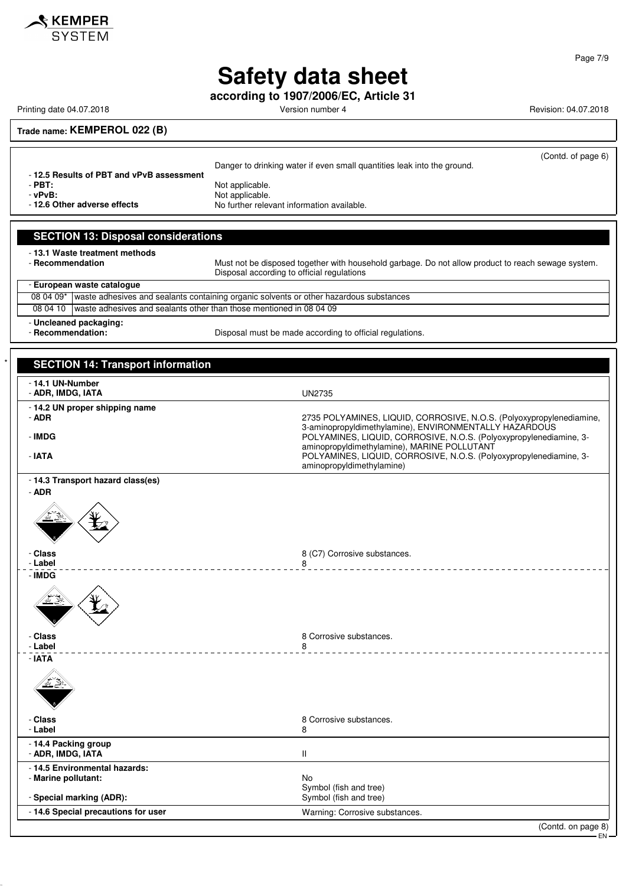

**according to 1907/2006/EC, Article 31**

Printing date 04.07.2018 **Printing date 04.07.2018** Version number 4 Revision: 04.07.2018

(Contd. of page 6)

EN

#### **Trade name: KEMPEROL 022 (B)**

Danger to drinking water if even small quantities leak into the ground. - **12.5 Results of PBT and vPvB assessment** - **PBT:**<br>
PV**B:** Not applicable.<br>
Not applicable.

verballeright of **PVB:**<br> **- 12.6 Other adverse effects**<br>
No further relevant No further relevant information available.

#### **SECTION 13: Disposal considerations**

- **13.1 Waste treatment methods**

Must not be disposed together with household garbage. Do not allow product to reach sewage system. Disposal according to official regulations

- **European waste catalogue** 08 04 09\* waste adhesives and sealants containing organic solvents or other hazardous substances 08 04 10 waste adhesives and sealants other than those mentioned in 08 04 09

- **Uncleaned packaging:**

- **Recommendation:** Disposal must be made according to official regulations.

### **SECTION 14: Transport information** - **14.1 UN-Number** - **ADR, IMDG, IATA** UN2735 - **14.2 UN proper shipping name** 2735 POLYAMINES, LIQUID, CORROSIVE, N.O.S. (Polyoxypropylenediamine, 3-aminopropyldimethylamine), ENVIRONMENTALLY HAZARDOUS - **IMDG** POLYAMINES, LIQUID, CORROSIVE, N.O.S. (Polyoxypropylenediamine, 3 aminopropyldimethylamine), MARINE POLLUTANT - **IATA** POLYAMINES, LIQUID, CORROSIVE, N.O.S. (Polyoxypropylenediamine, 3 aminopropyldimethylamine) - **14.3 Transport hazard class(es)** - **ADR** - **Class** 8 (C7) Corrosive substances. - **Label** 8 <u> - - - - - - - - - - -</u> - **IMDG Class** 8 Corrosive substances.<br> **Label** 8 2011 8 2012 8 2014 8 2014 8 2014 8 2014 8 2014 8 2014 8 2014 8 2014 8 2014 8 2014 8 2014 8 2014 8 2014 8 2014 8 2014 8 2014 8 2014 8 2014 8 2014 8 2014 8 2014 8 2014 8 2014 8 2014 - **Label** 8 - **IATA** - **Class** 8 Corrosive substances.<br>**Example:** 8 Additional 8 Additional 8 Additional 8 Additional 8 Additional 8 Additional 8 Additional 9 Addition - **Label** 8 - **14.4 Packing group ADR, IMDG, IATA** III - **14.5 Environmental hazards:** - **Marine pollutant:** No Symbol (fish and tree) **- Special marking (ADR):** Special marking (ADR): Special marking (ADR): Special marking of  $\mathbb{R}$  section of  $\mathbb{R}$  symbol (fish and tree) - **14.6 Special precautions for user** Warning: Corrosive substances. (Contd. on page 8)

Page 7/9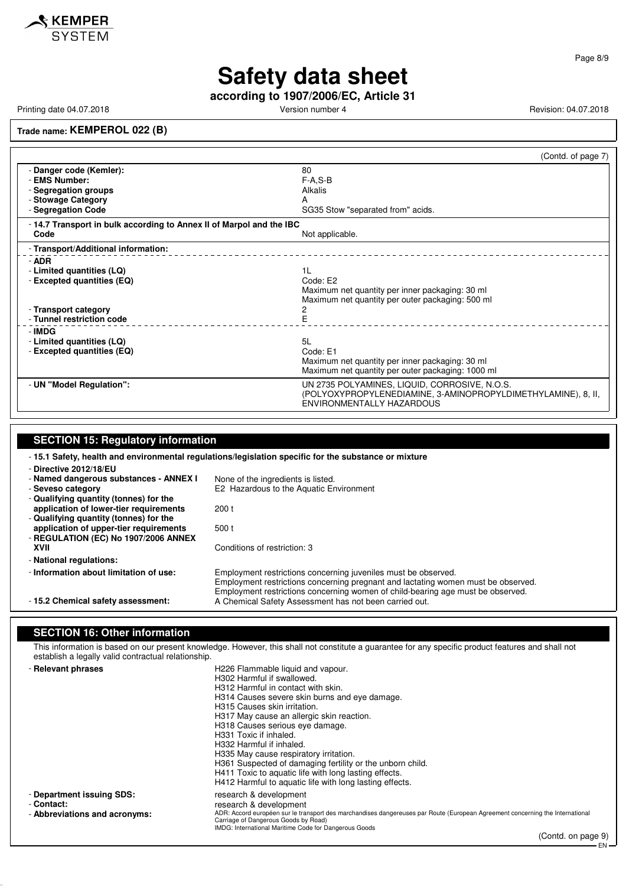

Page 8/9

### **Safety data sheet**

**according to 1907/2006/EC, Article 31**

Printing date 04.07.2018 **Printing date 04.07.2018** Version number 4 Revision: 04.07.2018

**Trade name: KEMPEROL 022 (B)**

|                                                                     |                                                                                                                | (Contd. of page 7) |
|---------------------------------------------------------------------|----------------------------------------------------------------------------------------------------------------|--------------------|
| - Danger code (Kemler):                                             | 80                                                                                                             |                    |
| - EMS Number:                                                       | $F-A.S-B$                                                                                                      |                    |
| - Segregation groups                                                | Alkalis                                                                                                        |                    |
| - Stowage Category                                                  | А                                                                                                              |                    |
| - Segregation Code                                                  | SG35 Stow "separated from" acids.                                                                              |                    |
| -14.7 Transport in bulk according to Annex II of Marpol and the IBC |                                                                                                                |                    |
| Code                                                                | Not applicable.                                                                                                |                    |
| - Transport/Additional information:                                 |                                                                                                                |                    |
| - ADR                                                               |                                                                                                                |                    |
| - Limited quantities (LQ)                                           | 1 <sub>L</sub>                                                                                                 |                    |
| - Excepted quantities (EQ)                                          | Code: E2                                                                                                       |                    |
|                                                                     | Maximum net quantity per inner packaging: 30 ml                                                                |                    |
|                                                                     | Maximum net quantity per outer packaging: 500 ml                                                               |                    |
| - Transport category<br>- Tunnel restriction code                   | 2<br>E                                                                                                         |                    |
|                                                                     |                                                                                                                |                    |
| - IMDG                                                              |                                                                                                                |                    |
| - Limited quantities (LQ)                                           | 5L                                                                                                             |                    |
| - Excepted quantities (EQ)                                          | Code: E1<br>Maximum net quantity per inner packaging: 30 ml                                                    |                    |
|                                                                     | Maximum net quantity per outer packaging: 1000 ml                                                              |                    |
|                                                                     |                                                                                                                |                    |
| - UN "Model Regulation":                                            | UN 2735 POLYAMINES, LIQUID, CORROSIVE, N.O.S.<br>(POLYOXYPROPYLENEDIAMINE, 3-AMINOPROPYLDIMETHYLAMINE), 8, II, |                    |
|                                                                     | ENVIRONMENTALLY HAZARDOUS                                                                                      |                    |

#### **SECTION 15: Regulatory information** - **15.1 Safety, health and environmental regulations/legislation specific for the substance or mixture** - **Directive 2012/18/EU** - **Named dangerous substances - ANNEX I** None of the ingredients is listed.<br>- Seveso category E2 Hazardous to the Aquatic Er E2 Hazardous to the Aquatic Environment - **Qualifying quantity (tonnes) for the application of lower-tier requirements** 200 t - **Qualifying quantity (tonnes) for the application of upper-tier requirements** 500 t - **REGULATION (EC) No 1907/2006 ANNEX** Conditions of restriction: 3 - **National regulations:** - **Information about limitation of use:** Employment restrictions concerning juveniles must be observed. Employment restrictions concerning pregnant and lactating women must be observed. Employment restrictions concerning women of child-bearing age must be observed. - **15.2 Chemical safety assessment:** A Chemical Safety Assessment has not been carried out.

#### **SECTION 16: Other information**

This information is based on our present knowledge. However, this shall not constitute a guarantee for any specific product features and shall not establish a legally valid contractual relationship.

| - Relevant phrases            | H226 Flammable liquid and vapour.                                                                                                                                                                                              |
|-------------------------------|--------------------------------------------------------------------------------------------------------------------------------------------------------------------------------------------------------------------------------|
|                               | H302 Harmful if swallowed.                                                                                                                                                                                                     |
|                               | H312 Harmful in contact with skin.                                                                                                                                                                                             |
|                               | H314 Causes severe skin burns and eye damage.                                                                                                                                                                                  |
|                               | H315 Causes skin irritation.                                                                                                                                                                                                   |
|                               | H317 May cause an allergic skin reaction.                                                                                                                                                                                      |
|                               | H318 Causes serious eye damage.                                                                                                                                                                                                |
|                               | H331 Toxic if inhaled.                                                                                                                                                                                                         |
|                               | H332 Harmful if inhaled.                                                                                                                                                                                                       |
|                               | H335 May cause respiratory irritation.                                                                                                                                                                                         |
|                               | H361 Suspected of damaging fertility or the unborn child.                                                                                                                                                                      |
|                               | H411 Toxic to aquatic life with long lasting effects.                                                                                                                                                                          |
|                               | H412 Harmful to aquatic life with long lasting effects.                                                                                                                                                                        |
| - Department issuing SDS:     | research & development                                                                                                                                                                                                         |
| - Contact:                    | research & development                                                                                                                                                                                                         |
| - Abbreviations and acronyms: | ADR: Accord européen sur le transport des marchandises dangereuses par Route (European Agreement concerning the International<br>Carriage of Dangerous Goods by Road)<br>IMDG: International Maritime Code for Dangerous Goods |